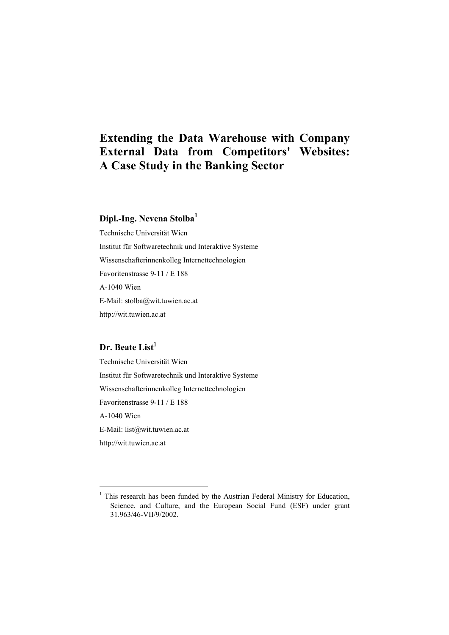# **Extending the Data Warehouse with Company External Data from Competitors' Websites: A Case Study in the Banking Sector**

### **Dipl.-Ing. Nevena Stolba<sup>1</sup>**

Technische Universität Wien Institut für Softwaretechnik und Interaktive Systeme Wissenschafterinnenkolleg Internettechnologien Favoritenstrasse 9-11 / E 188 A-1040 Wien E-Mail: stolba@wit.tuwien.ac.at http://wit.tuwien.ac.at

# **Dr.** Beate List<sup>1</sup>

l

Technische Universität Wien Institut für Softwaretechnik und Interaktive Systeme Wissenschafterinnenkolleg Internettechnologien Favoritenstrasse 9-11 / E 188 A-1040 Wien E-Mail: list@wit.tuwien.ac.at http://wit.tuwien.ac.at

<sup>&</sup>lt;sup>1</sup> This research has been funded by the Austrian Federal Ministry for Education, Science, and Culture, and the European Social Fund (ESF) under grant 31.963/46-VII/9/2002.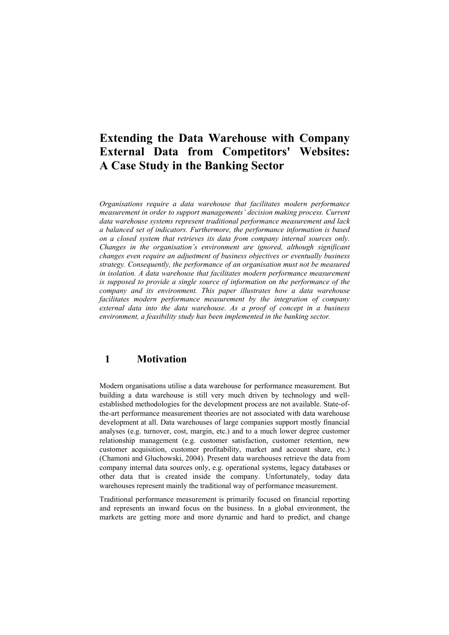# **Extending the Data Warehouse with Company External Data from Competitors' Websites: A Case Study in the Banking Sector**

*Organisations require a data warehouse that facilitates modern performance measurement in order to support managements' decision making process. Current data warehouse systems represent traditional performance measurement and lack a balanced set of indicators. Furthermore, the performance information is based on a closed system that retrieves its data from company internal sources only. Changes in the organisation's environment are ignored, although significant changes even require an adjustment of business objectives or eventually business strategy. Consequently, the performance of an organisation must not be measured in isolation. A data warehouse that facilitates modern performance measurement is supposed to provide a single source of information on the performance of the company and its environment. This paper illustrates how a data warehouse facilitates modern performance measurement by the integration of company external data into the data warehouse. As a proof of concept in a business environment, a feasibility study has been implemented in the banking sector.* 

## **1 Motivation**

Modern organisations utilise a data warehouse for performance measurement. But building a data warehouse is still very much driven by technology and wellestablished methodologies for the development process are not available. State-ofthe-art performance measurement theories are not associated with data warehouse development at all. Data warehouses of large companies support mostly financial analyses (e.g. turnover, cost, margin, etc.) and to a much lower degree customer relationship management (e.g. customer satisfaction, customer retention, new customer acquisition, customer profitability, market and account share, etc.) (Chamoni and Gluchowski, 2004). Present data warehouses retrieve the data from company internal data sources only, e.g. operational systems, legacy databases or other data that is created inside the company. Unfortunately, today data warehouses represent mainly the traditional way of performance measurement.

Traditional performance measurement is primarily focused on financial reporting and represents an inward focus on the business. In a global environment, the markets are getting more and more dynamic and hard to predict, and change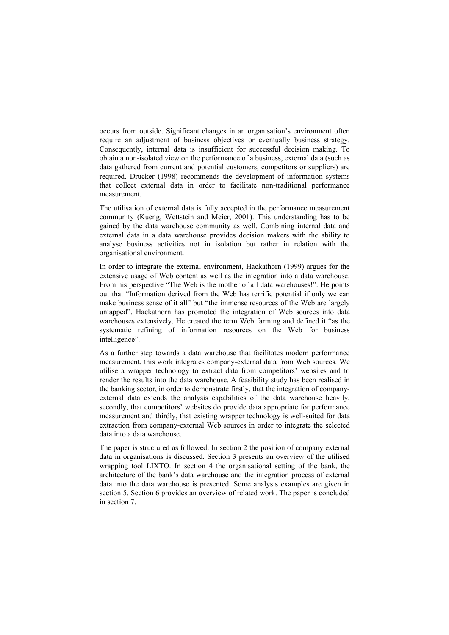occurs from outside. Significant changes in an organisation's environment often require an adjustment of business objectives or eventually business strategy. Consequently, internal data is insufficient for successful decision making. To obtain a non-isolated view on the performance of a business, external data (such as data gathered from current and potential customers, competitors or suppliers) are required. Drucker (1998) recommends the development of information systems that collect external data in order to facilitate non-traditional performance measurement.

The utilisation of external data is fully accepted in the performance measurement community (Kueng, Wettstein and Meier, 2001). This understanding has to be gained by the data warehouse community as well. Combining internal data and external data in a data warehouse provides decision makers with the ability to analyse business activities not in isolation but rather in relation with the organisational environment.

In order to integrate the external environment, Hackathorn (1999) argues for the extensive usage of Web content as well as the integration into a data warehouse. From his perspective "The Web is the mother of all data warehouses!". He points out that "Information derived from the Web has terrific potential if only we can make business sense of it all" but "the immense resources of the Web are largely untapped". Hackathorn has promoted the integration of Web sources into data warehouses extensively. He created the term Web farming and defined it "as the systematic refining of information resources on the Web for business intelligence".

As a further step towards a data warehouse that facilitates modern performance measurement, this work integrates company-external data from Web sources. We utilise a wrapper technology to extract data from competitors' websites and to render the results into the data warehouse. A feasibility study has been realised in the banking sector, in order to demonstrate firstly, that the integration of companyexternal data extends the analysis capabilities of the data warehouse heavily, secondly, that competitors' websites do provide data appropriate for performance measurement and thirdly, that existing wrapper technology is well-suited for data extraction from company-external Web sources in order to integrate the selected data into a data warehouse.

The paper is structured as followed: In section 2 the position of company external data in organisations is discussed. Section 3 presents an overview of the utilised wrapping tool LIXTO. In section 4 the organisational setting of the bank, the architecture of the bank's data warehouse and the integration process of external data into the data warehouse is presented. Some analysis examples are given in section 5. Section 6 provides an overview of related work. The paper is concluded in section 7.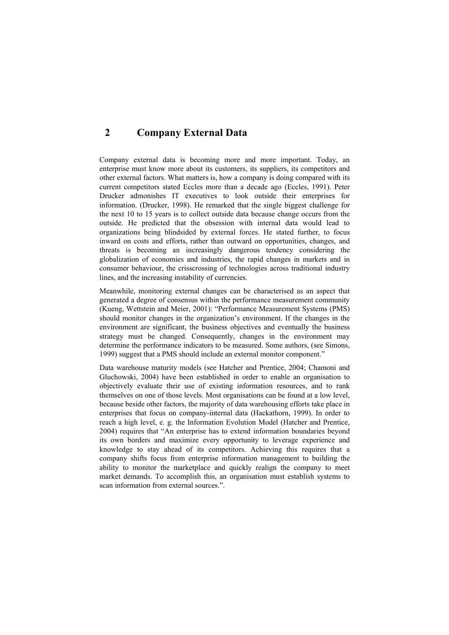## **2 Company External Data**

Company external data is becoming more and more important. Today, an enterprise must know more about its customers, its suppliers, its competitors and other external factors. What matters is, how a company is doing compared with its current competitors stated Eccles more than a decade ago (Eccles, 1991). Peter Drucker admonishes IT executives to look outside their enterprises for information. (Drucker, 1998). He remarked that the single biggest challenge for the next 10 to 15 years is to collect outside data because change occurs from the outside. He predicted that the obsession with internal data would lead to organizations being blindsided by external forces. He stated further, to focus inward on costs and efforts, rather than outward on opportunities, changes, and threats is becoming an increasingly dangerous tendency considering the globalization of economies and industries, the rapid changes in markets and in consumer behaviour, the crisscrossing of technologies across traditional industry lines, and the increasing instability of currencies.

Meanwhile, monitoring external changes can be characterised as an aspect that generated a degree of consensus within the performance measurement community (Kueng, Wettstein and Meier, 2001): "Performance Measurement Systems (PMS) should monitor changes in the organization's environment. If the changes in the environment are significant, the business objectives and eventually the business strategy must be changed. Consequently, changes in the environment may determine the performance indicators to be measured. Some authors, (see Simons, 1999) suggest that a PMS should include an external monitor component."

Data warehouse maturity models (see Hatcher and Prentice, 2004; Chamoni and Gluchowski, 2004) have been established in order to enable an organisation to objectively evaluate their use of existing information resources, and to rank themselves on one of those levels. Most organisations can be found at a low level, because beside other factors, the majority of data warehousing efforts take place in enterprises that focus on company-internal data (Hackathorn, 1999). In order to reach a high level, e. g. the Information Evolution Model (Hatcher and Prentice, 2004) requires that "An enterprise has to extend information boundaries beyond its own borders and maximize every opportunity to leverage experience and knowledge to stay ahead of its competitors. Achieving this requires that a company shifts focus from enterprise information management to building the ability to monitor the marketplace and quickly realign the company to meet market demands. To accomplish this, an organisation must establish systems to scan information from external sources.".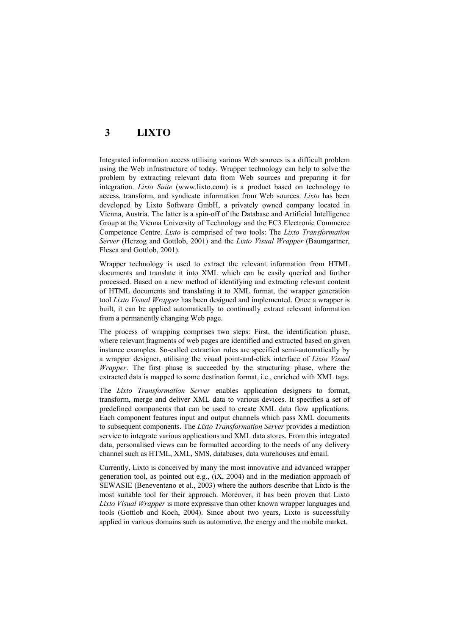# **3 LIXTO**

Integrated information access utilising various Web sources is a difficult problem using the Web infrastructure of today. Wrapper technology can help to solve the problem by extracting relevant data from Web sources and preparing it for integration. *Lixto Suite* (www.lixto.com) is a product based on technology to access, transform, and syndicate information from Web sources. *Lixto* has been developed by Lixto Software GmbH, a privately owned company located in Vienna, Austria. The latter is a spin-off of the Database and Artificial Intelligence Group at the Vienna University of Technology and the EC3 Electronic Commerce Competence Centre. *Lixto* is comprised of two tools: The *Lixto Transformation Server* (Herzog and Gottlob, 2001) and the *Lixto Visual Wrapper* (Baumgartner, Flesca and Gottlob, 2001).

Wrapper technology is used to extract the relevant information from HTML documents and translate it into XML which can be easily queried and further processed. Based on a new method of identifying and extracting relevant content of HTML documents and translating it to XML format, the wrapper generation tool *Lixto Visual Wrapper* has been designed and implemented. Once a wrapper is built, it can be applied automatically to continually extract relevant information from a permanently changing Web page.

The process of wrapping comprises two steps: First, the identification phase, where relevant fragments of web pages are identified and extracted based on given instance examples. So-called extraction rules are specified semi-automatically by a wrapper designer, utilising the visual point-and-click interface of *Lixto Visual Wrapper*. The first phase is succeeded by the structuring phase, where the extracted data is mapped to some destination format, i.e., enriched with XML tags.

The *Lixto Transformation Server* enables application designers to format, transform, merge and deliver XML data to various devices. It specifies a set of predefined components that can be used to create XML data flow applications. Each component features input and output channels which pass XML documents to subsequent components. The *Lixto Transformation Server* provides a mediation service to integrate various applications and XML data stores. From this integrated data, personalised views can be formatted according to the needs of any delivery channel such as HTML, XML, SMS, databases, data warehouses and email.

Currently, Lixto is conceived by many the most innovative and advanced wrapper generation tool, as pointed out e.g., (iX, 2004) and in the mediation approach of SEWASIE (Beneventano et al., 2003) where the authors describe that Lixto is the most suitable tool for their approach. Moreover, it has been proven that Lixto *Lixto Visual Wrapper* is more expressive than other known wrapper languages and tools (Gottlob and Koch, 2004). Since about two years, Lixto is successfully applied in various domains such as automotive, the energy and the mobile market.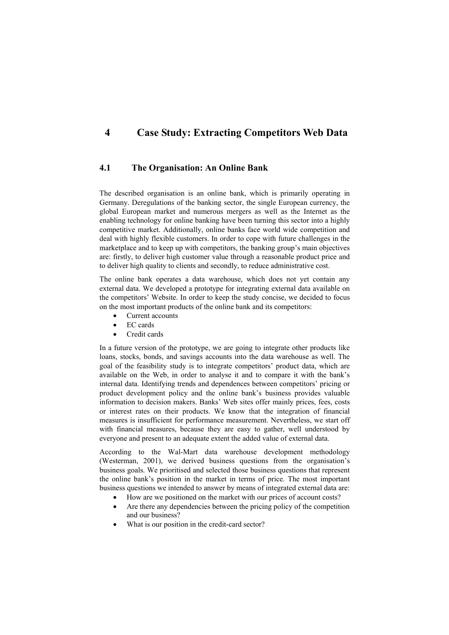### **4 Case Study: Extracting Competitors Web Data**

#### **4.1 The Organisation: An Online Bank**

The described organisation is an online bank, which is primarily operating in Germany. Deregulations of the banking sector, the single European currency, the global European market and numerous mergers as well as the Internet as the enabling technology for online banking have been turning this sector into a highly competitive market. Additionally, online banks face world wide competition and deal with highly flexible customers. In order to cope with future challenges in the marketplace and to keep up with competitors, the banking group's main objectives are: firstly, to deliver high customer value through a reasonable product price and to deliver high quality to clients and secondly, to reduce administrative cost.

The online bank operates a data warehouse, which does not yet contain any external data. We developed a prototype for integrating external data available on the competitors' Website. In order to keep the study concise, we decided to focus on the most important products of the online bank and its competitors:

- Current accounts
- EC cards
- Credit cards

In a future version of the prototype, we are going to integrate other products like loans, stocks, bonds, and savings accounts into the data warehouse as well. The goal of the feasibility study is to integrate competitors' product data, which are available on the Web, in order to analyse it and to compare it with the bank's internal data. Identifying trends and dependences between competitors' pricing or product development policy and the online bank's business provides valuable information to decision makers. Banks' Web sites offer mainly prices, fees, costs or interest rates on their products. We know that the integration of financial measures is insufficient for performance measurement. Nevertheless, we start off with financial measures, because they are easy to gather, well understood by everyone and present to an adequate extent the added value of external data.

According to the Wal-Mart data warehouse development methodology (Westerman, 2001), we derived business questions from the organisation's business goals. We prioritised and selected those business questions that represent the online bank's position in the market in terms of price. The most important business questions we intended to answer by means of integrated external data are:

- How are we positioned on the market with our prices of account costs?
- Are there any dependencies between the pricing policy of the competition and our business?
- What is our position in the credit-card sector?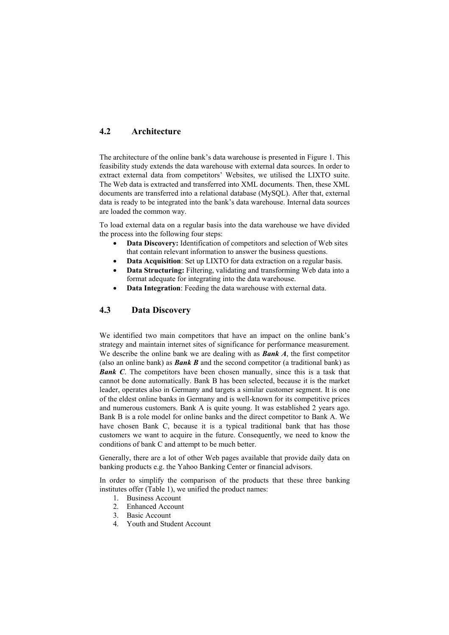#### **4.2 Architecture**

The architecture of the online bank's data warehouse is presented in Figure 1. This feasibility study extends the data warehouse with external data sources. In order to extract external data from competitors' Websites, we utilised the LIXTO suite. The Web data is extracted and transferred into XML documents. Then, these XML documents are transferred into a relational database (MySQL). After that, external data is ready to be integrated into the bank's data warehouse. Internal data sources are loaded the common way.

To load external data on a regular basis into the data warehouse we have divided the process into the following four steps:

- **Data Discovery:** Identification of competitors and selection of Web sites that contain relevant information to answer the business questions.
- **Data Acquisition**: Set up LIXTO for data extraction on a regular basis.
- **Data Structuring:** Filtering, validating and transforming Web data into a format adequate for integrating into the data warehouse.
- **Data Integration**: Feeding the data warehouse with external data.

### **4.3 Data Discovery**

We identified two main competitors that have an impact on the online bank's strategy and maintain internet sites of significance for performance measurement. We describe the online bank we are dealing with as *Bank A*, the first competitor (also an online bank) as *Bank B* and the second competitor (a traditional bank) as **Bank C**. The competitors have been chosen manually, since this is a task that cannot be done automatically. Bank B has been selected, because it is the market leader, operates also in Germany and targets a similar customer segment. It is one of the eldest online banks in Germany and is well-known for its competitive prices and numerous customers. Bank A is quite young. It was established 2 years ago. Bank B is a role model for online banks and the direct competitor to Bank A. We have chosen Bank C, because it is a typical traditional bank that has those customers we want to acquire in the future. Consequently, we need to know the conditions of bank C and attempt to be much better.

Generally, there are a lot of other Web pages available that provide daily data on banking products e.g. the Yahoo Banking Center or financial advisors.

In order to simplify the comparison of the products that these three banking institutes offer (Table 1), we unified the product names:

- 1. Business Account
- 2. Enhanced Account
- 3. Basic Account
- 4. Youth and Student Account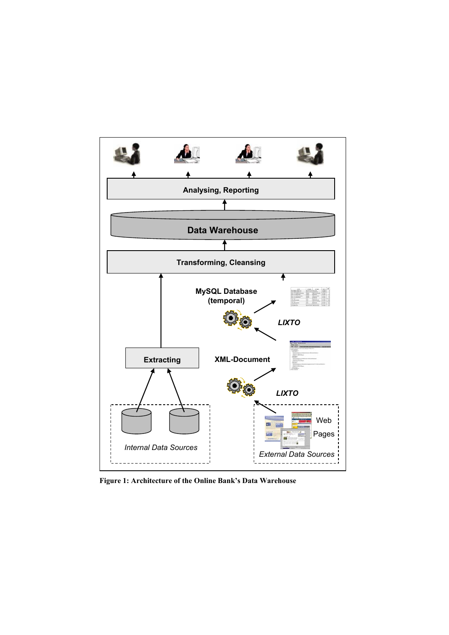

**Figure 1: Architecture of the Online Bank's Data Warehouse**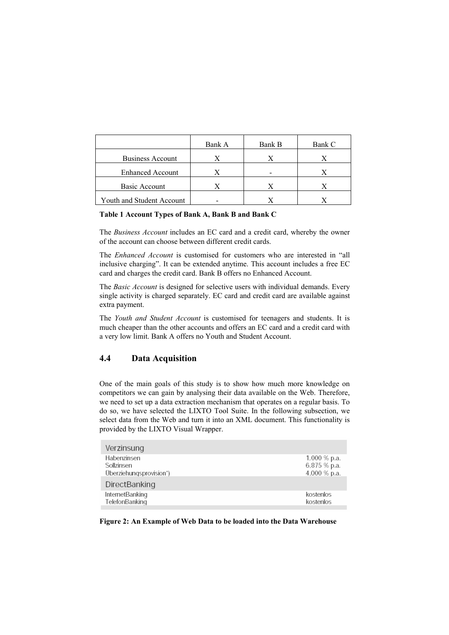|                           | Bank A | Bank B | Bank C |
|---------------------------|--------|--------|--------|
| <b>Business Account</b>   |        |        |        |
| <b>Enhanced Account</b>   |        |        |        |
| Basic Account             |        |        |        |
| Youth and Student Account |        |        |        |

**Table 1 Account Types of Bank A, Bank B and Bank C** 

The *Business Account* includes an EC card and a credit card, whereby the owner of the account can choose between different credit cards.

The *Enhanced Account* is customised for customers who are interested in "all inclusive charging". It can be extended anytime. This account includes a free EC card and charges the credit card. Bank B offers no Enhanced Account.

The *Basic Account* is designed for selective users with individual demands. Every single activity is charged separately. EC card and credit card are available against extra payment.

The *Youth and Student Account* is customised for teenagers and students. It is much cheaper than the other accounts and offers an EC card and a credit card with a very low limit. Bank A offers no Youth and Student Account.

#### **4.4 Data Acquisition**

One of the main goals of this study is to show how much more knowledge on competitors we can gain by analysing their data available on the Web. Therefore, we need to set up a data extraction mechanism that operates on a regular basis. To do so, we have selected the LIXTO Tool Suite. In the following subsection, we select data from the Web and turn it into an XML document. This functionality is provided by the LIXTO Visual Wrapper.

| Verzinsung               |              |
|--------------------------|--------------|
| Habenzinsen              | 1,000 % p.a. |
| Sollzinsen               | 6,875 % p.a. |
| (Uberziehungsprovision*) | 4,000 % p.a. |
| <b>DirectBanking</b>     |              |
| InternetBanking          | kostenlos    |
| TelefonBanking           | kostenlos    |

**Figure 2: An Example of Web Data to be loaded into the Data Warehouse**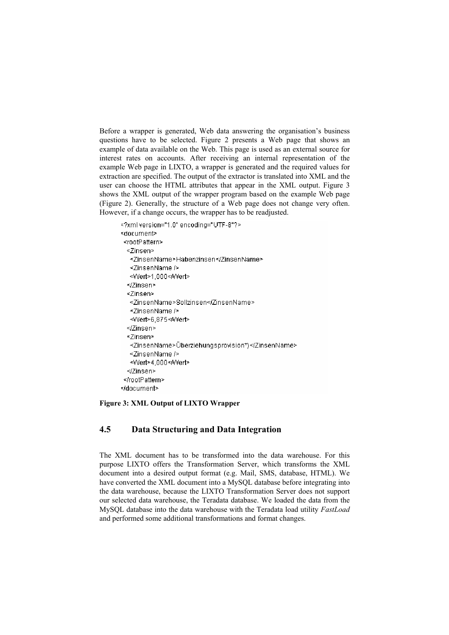Before a wrapper is generated, Web data answering the organisation's business questions have to be selected. Figure 2 presents a Web page that shows an example of data available on the Web. This page is used as an external source for interest rates on accounts. After receiving an internal representation of the example Web page in LIXTO, a wrapper is generated and the required values for extraction are specified. The output of the extractor is translated into XML and the user can choose the HTML attributes that appear in the XML output. Figure 3 shows the XML output of the wrapper program based on the example Web page (Figure 2). Generally, the structure of a Web page does not change very often. However, if a change occurs, the wrapper has to be readjusted.

<?xml version="1.0" encoding="UTF-8"?> <document> ≺rootPattern> <7insen> <ZinsenName>Habenzinsen</ZinsenName> <ZinsenName /> <Wert>1,000</Wert> </Zinsen> <Zinsen> <ZinsenName>Sollzinsen</ZinsenName> <ZinsenName /> <Wert>6,875</Wert> ≼/Zinsen>  $\times$ Zincon> <ZinsenName>Überziehungsprovision\*)</ZinsenName> <ZinsenName /> <Wert>4,000</Wert> </Zinsen> </rootPattern> </document>

**Figure 3: XML Output of LIXTO Wrapper** 

#### **4.5 Data Structuring and Data Integration**

The XML document has to be transformed into the data warehouse. For this purpose LIXTO offers the Transformation Server, which transforms the XML document into a desired output format (e.g. Mail, SMS, database, HTML). We have converted the XML document into a MySQL database before integrating into the data warehouse, because the LIXTO Transformation Server does not support our selected data warehouse, the Teradata database. We loaded the data from the MySQL database into the data warehouse with the Teradata load utility *FastLoad* and performed some additional transformations and format changes.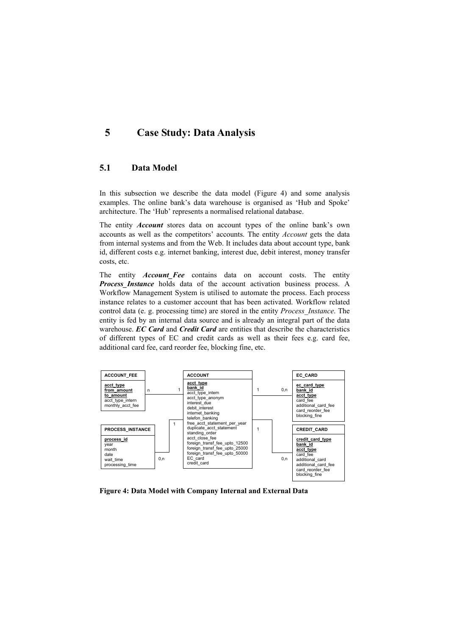### **5 Case Study: Data Analysis**

#### **5.1 Data Model**

In this subsection we describe the data model (Figure 4) and some analysis examples. The online bank's data warehouse is organised as 'Hub and Spoke' architecture. The 'Hub' represents a normalised relational database.

The entity *Account* stores data on account types of the online bank's own accounts as well as the competitors' accounts. The entity *Account* gets the data from internal systems and from the Web. It includes data about account type, bank id, different costs e.g. internet banking, interest due, debit interest, money transfer costs, etc.

The entity *Account Fee* contains data on account costs. The entity **Process Instance** holds data of the account activation business process. A Workflow Management System is utilised to automate the process. Each process instance relates to a customer account that has been activated. Workflow related control data (e. g. processing time) are stored in the entity *Process\_Instance*. The entity is fed by an internal data source and is already an integral part of the data warehouse. *EC Card* and *Credit Card* are entities that describe the characteristics of different types of EC and credit cards as well as their fees e.g. card fee, additional card fee, card reorder fee, blocking fine, etc.



**Figure 4: Data Model with Company Internal and External Data**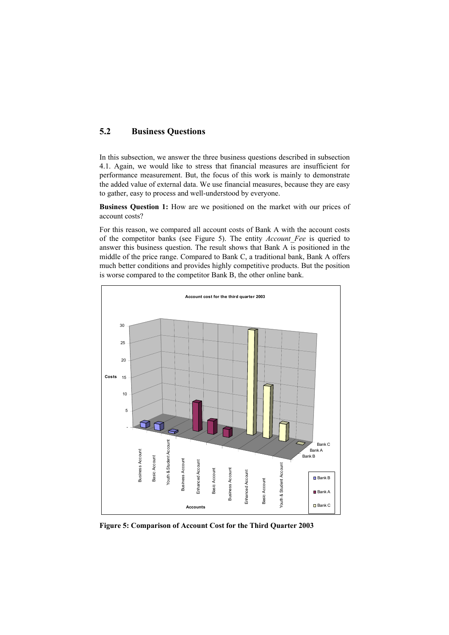### **5.2 Business Questions**

In this subsection, we answer the three business questions described in subsection 4.1. Again, we would like to stress that financial measures are insufficient for performance measurement. But, the focus of this work is mainly to demonstrate the added value of external data. We use financial measures, because they are easy to gather, easy to process and well-understood by everyone.

**Business Question 1:** How are we positioned on the market with our prices of account costs?

For this reason, we compared all account costs of Bank A with the account costs of the competitor banks (see Figure 5). The entity *Account\_Fee* is queried to answer this business question. The result shows that Bank A is positioned in the middle of the price range. Compared to Bank C, a traditional bank, Bank A offers much better conditions and provides highly competitive products. But the position is worse compared to the competitor Bank B, the other online bank.



**Figure 5: Comparison of Account Cost for the Third Quarter 2003**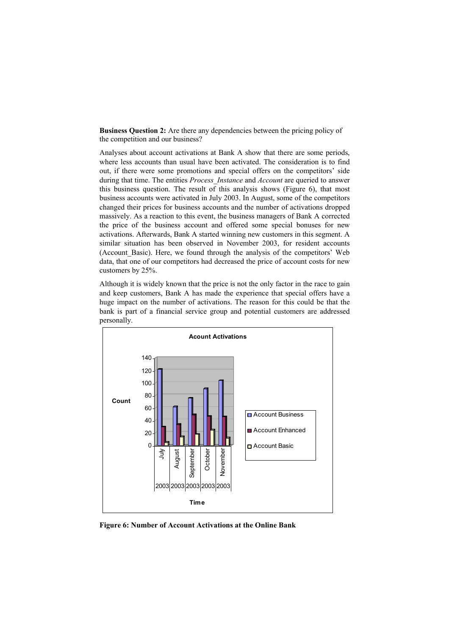**Business Question 2:** Are there any dependencies between the pricing policy of the competition and our business?

Analyses about account activations at Bank A show that there are some periods, where less accounts than usual have been activated. The consideration is to find out, if there were some promotions and special offers on the competitors' side during that time. The entities *Process\_Instance* and *Account* are queried to answer this business question. The result of this analysis shows (Figure 6), that most business accounts were activated in July 2003. In August, some of the competitors changed their prices for business accounts and the number of activations dropped massively. As a reaction to this event, the business managers of Bank A corrected the price of the business account and offered some special bonuses for new activations. Afterwards, Bank A started winning new customers in this segment. A similar situation has been observed in November 2003, for resident accounts (Account Basic). Here, we found through the analysis of the competitors' Web data, that one of our competitors had decreased the price of account costs for new customers by 25%.

Although it is widely known that the price is not the only factor in the race to gain and keep customers, Bank A has made the experience that special offers have a huge impact on the number of activations. The reason for this could be that the bank is part of a financial service group and potential customers are addressed personally.



**Figure 6: Number of Account Activations at the Online Bank**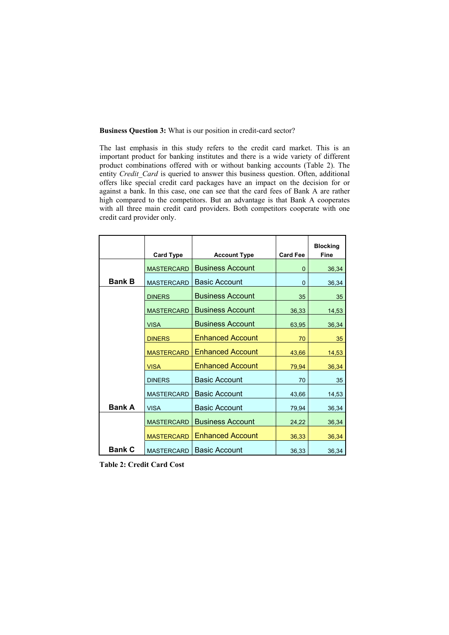#### **Business Question 3:** What is our position in credit-card sector?

The last emphasis in this study refers to the credit card market. This is an important product for banking institutes and there is a wide variety of different product combinations offered with or without banking accounts (Table 2). The entity *Credit\_Card* is queried to answer this business question. Often, additional offers like special credit card packages have an impact on the decision for or against a bank. In this case, one can see that the card fees of Bank A are rather high compared to the competitors. But an advantage is that Bank A cooperates with all three main credit card providers. Both competitors cooperate with one credit card provider only.

|               | <b>Card Type</b>  | <b>Account Type</b>     | <b>Card Fee</b> | <b>Blocking</b><br>Fine |
|---------------|-------------------|-------------------------|-----------------|-------------------------|
|               | <b>MASTERCARD</b> | <b>Business Account</b> | 0               | 36,34                   |
| <b>Bank B</b> | <b>MASTERCARD</b> | <b>Basic Account</b>    | 0               | 36,34                   |
|               | <b>DINERS</b>     | <b>Business Account</b> | 35              | 35                      |
|               | <b>MASTERCARD</b> | <b>Business Account</b> | 36,33           | 14,53                   |
|               | <b>VISA</b>       | <b>Business Account</b> | 63,95           | 36,34                   |
|               | <b>DINERS</b>     | <b>Enhanced Account</b> | 70              | 35                      |
|               | <b>MASTERCARD</b> | <b>Enhanced Account</b> | 43,66           | 14,53                   |
|               | <b>VISA</b>       | <b>Enhanced Account</b> | 79,94           | 36,34                   |
|               | <b>DINERS</b>     | <b>Basic Account</b>    | 70              | 35                      |
|               | <b>MASTERCARD</b> | <b>Basic Account</b>    | 43,66           | 14,53                   |
| <b>Bank A</b> | <b>VISA</b>       | <b>Basic Account</b>    | 79,94           | 36,34                   |
|               | <b>MASTERCARD</b> | <b>Business Account</b> | 24.22           | 36,34                   |
|               | <b>MASTERCARD</b> | <b>Enhanced Account</b> | 36,33           | 36,34                   |
| <b>Bank C</b> | <b>MASTERCARD</b> | <b>Basic Account</b>    | 36,33           | 36,34                   |

**Table 2: Credit Card Cost**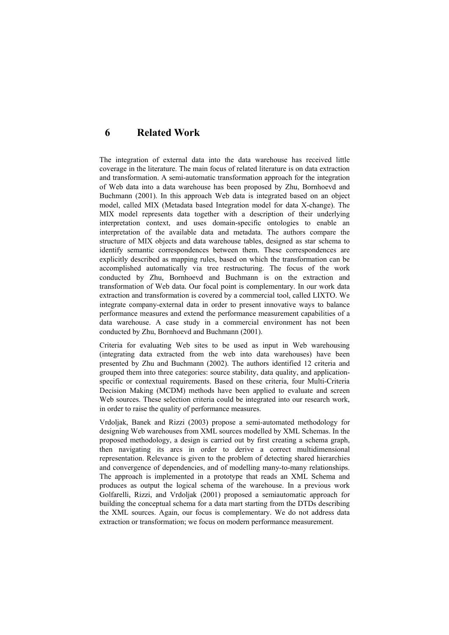### **6 Related Work**

The integration of external data into the data warehouse has received little coverage in the literature. The main focus of related literature is on data extraction and transformation. A semi-automatic transformation approach for the integration of Web data into a data warehouse has been proposed by Zhu, Bornhoevd and Buchmann (2001). In this approach Web data is integrated based on an object model, called MIX (Metadata based Integration model for data X-change). The MIX model represents data together with a description of their underlying interpretation context, and uses domain-specific ontologies to enable an interpretation of the available data and metadata. The authors compare the structure of MIX objects and data warehouse tables, designed as star schema to identify semantic correspondences between them. These correspondences are explicitly described as mapping rules, based on which the transformation can be accomplished automatically via tree restructuring. The focus of the work conducted by Zhu, Bornhoevd and Buchmann is on the extraction and transformation of Web data. Our focal point is complementary. In our work data extraction and transformation is covered by a commercial tool, called LIXTO. We integrate company-external data in order to present innovative ways to balance performance measures and extend the performance measurement capabilities of a data warehouse. A case study in a commercial environment has not been conducted by Zhu, Bornhoevd and Buchmann (2001).

Criteria for evaluating Web sites to be used as input in Web warehousing (integrating data extracted from the web into data warehouses) have been presented by Zhu and Buchmann (2002). The authors identified 12 criteria and grouped them into three categories: source stability, data quality, and applicationspecific or contextual requirements. Based on these criteria, four Multi-Criteria Decision Making (MCDM) methods have been applied to evaluate and screen Web sources. These selection criteria could be integrated into our research work, in order to raise the quality of performance measures.

Vrdoljak, Banek and Rizzi (2003) propose a semi-automated methodology for designing Web warehouses from XML sources modelled by XML Schemas. In the proposed methodology, a design is carried out by first creating a schema graph, then navigating its arcs in order to derive a correct multidimensional representation. Relevance is given to the problem of detecting shared hierarchies and convergence of dependencies, and of modelling many-to-many relationships. The approach is implemented in a prototype that reads an XML Schema and produces as output the logical schema of the warehouse. In a previous work Golfarelli, Rizzi, and Vrdoljak (2001) proposed a semiautomatic approach for building the conceptual schema for a data mart starting from the DTDs describing the XML sources. Again, our focus is complementary. We do not address data extraction or transformation; we focus on modern performance measurement.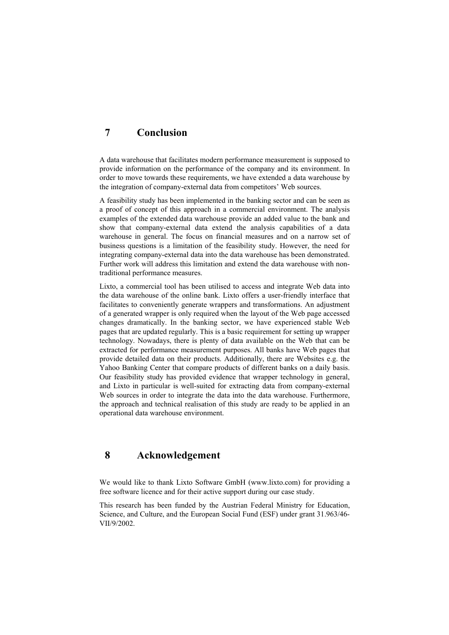## **7 Conclusion**

A data warehouse that facilitates modern performance measurement is supposed to provide information on the performance of the company and its environment. In order to move towards these requirements, we have extended a data warehouse by the integration of company-external data from competitors' Web sources.

A feasibility study has been implemented in the banking sector and can be seen as a proof of concept of this approach in a commercial environment. The analysis examples of the extended data warehouse provide an added value to the bank and show that company-external data extend the analysis capabilities of a data warehouse in general. The focus on financial measures and on a narrow set of business questions is a limitation of the feasibility study. However, the need for integrating company-external data into the data warehouse has been demonstrated. Further work will address this limitation and extend the data warehouse with nontraditional performance measures.

Lixto, a commercial tool has been utilised to access and integrate Web data into the data warehouse of the online bank. Lixto offers a user-friendly interface that facilitates to conveniently generate wrappers and transformations. An adjustment of a generated wrapper is only required when the layout of the Web page accessed changes dramatically. In the banking sector, we have experienced stable Web pages that are updated regularly. This is a basic requirement for setting up wrapper technology. Nowadays, there is plenty of data available on the Web that can be extracted for performance measurement purposes. All banks have Web pages that provide detailed data on their products. Additionally, there are Websites e.g. the Yahoo Banking Center that compare products of different banks on a daily basis. Our feasibility study has provided evidence that wrapper technology in general, and Lixto in particular is well-suited for extracting data from company-external Web sources in order to integrate the data into the data warehouse. Furthermore, the approach and technical realisation of this study are ready to be applied in an operational data warehouse environment.

### **8 Acknowledgement**

We would like to thank Lixto Software GmbH (www.lixto.com) for providing a free software licence and for their active support during our case study.

This research has been funded by the Austrian Federal Ministry for Education, Science, and Culture, and the European Social Fund (ESF) under grant 31.963/46- VII/9/2002.